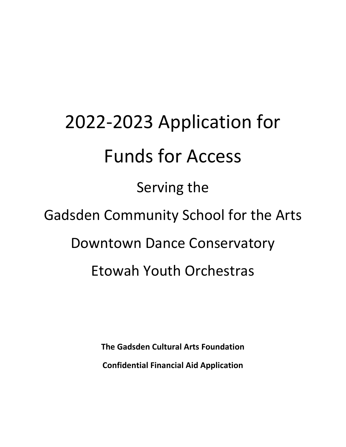# 2022-2023 Application for Funds for Access Serving the Gadsden Community School for the Arts Downtown Dance Conservatory Etowah Youth Orchestras

**The Gadsden Cultural Arts Foundation Confidential Financial Aid Application**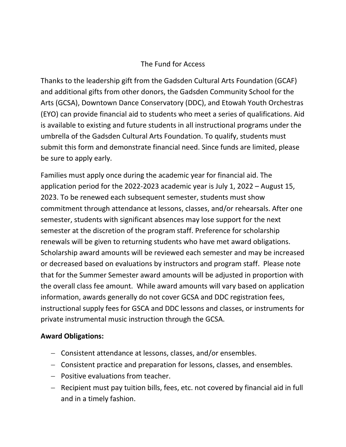# The Fund for Access

Thanks to the leadership gift from the Gadsden Cultural Arts Foundation (GCAF) and additional gifts from other donors, the Gadsden Community School for the Arts (GCSA), Downtown Dance Conservatory (DDC), and Etowah Youth Orchestras (EYO) can provide financial aid to students who meet a series of qualifications. Aid is available to existing and future students in all instructional programs under the umbrella of the Gadsden Cultural Arts Foundation. To qualify, students must submit this form and demonstrate financial need. Since funds are limited, please be sure to apply early.

Families must apply once during the academic year for financial aid. The application period for the 2022-2023 academic year is July 1, 2022 – August 15, 2023. To be renewed each subsequent semester, students must show commitment through attendance at lessons, classes, and/or rehearsals. After one semester, students with significant absences may lose support for the next semester at the discretion of the program staff. Preference for scholarship renewals will be given to returning students who have met award obligations. Scholarship award amounts will be reviewed each semester and may be increased or decreased based on evaluations by instructors and program staff. Please note that for the Summer Semester award amounts will be adjusted in proportion with the overall class fee amount. While award amounts will vary based on application information, awards generally do not cover GCSA and DDC registration fees, instructional supply fees for GSCA and DDC lessons and classes, or instruments for private instrumental music instruction through the GCSA.

## **Award Obligations:**

- − Consistent attendance at lessons, classes, and/or ensembles.
- − Consistent practice and preparation for lessons, classes, and ensembles.
- − Positive evaluations from teacher.
- − Recipient must pay tuition bills, fees, etc. not covered by financial aid in full and in a timely fashion.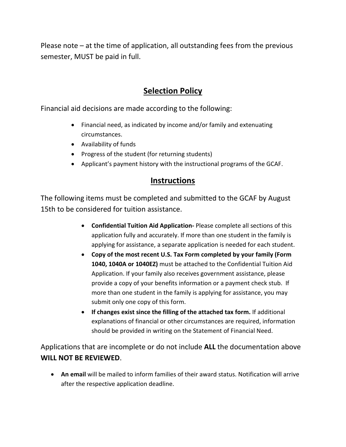Please note – at the time of application, all outstanding fees from the previous semester, MUST be paid in full.

# **Selection Policy**

Financial aid decisions are made according to the following:

- Financial need, as indicated by income and/or family and extenuating circumstances.
- Availability of funds
- Progress of the student (for returning students)
- Applicant's payment history with the instructional programs of the GCAF.

# **Instructions**

The following items must be completed and submitted to the GCAF by August 15th to be considered for tuition assistance.

- **Confidential Tuition Aid Application-** Please complete all sections of this application fully and accurately. If more than one student in the family is applying for assistance, a separate application is needed for each student.
- **Copy of the most recent U.S. Tax Form completed by your family (Form 1040, 1040A or 1040EZ)** must be attached to the Confidential Tuition Aid Application. If your family also receives government assistance, please provide a copy of your benefits information or a payment check stub. If more than one student in the family is applying for assistance, you may submit only one copy of this form.
- **If changes exist since the filling of the attached tax form.** If additional explanations of financial or other circumstances are required, information should be provided in writing on the Statement of Financial Need.

Applications that are incomplete or do not include **ALL** the documentation above **WILL NOT BE REVIEWED**.

• **An email** will be mailed to inform families of their award status. Notification will arrive after the respective application deadline.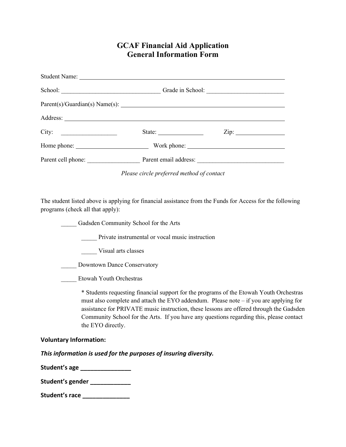### **GCAF Financial Aid Application General Information Form**

|                                                                                                                |                                                           | Grade in School:  |
|----------------------------------------------------------------------------------------------------------------|-----------------------------------------------------------|-------------------|
|                                                                                                                |                                                           |                   |
|                                                                                                                |                                                           |                   |
|                                                                                                                | State: $\frac{1}{\sqrt{1-\frac{1}{2}} \cdot \frac{1}{2}}$ | $\chi$ ip: $\chi$ |
|                                                                                                                |                                                           |                   |
| Parent cell phone: Parent email address: 2000 March 2010 March 2010 March 2010 March 2010 March 2010 March 201 |                                                           |                   |

*Please circle preferred method of contact*

The student listed above is applying for financial assistance from the Funds for Access for the following programs (check all that apply):

\_\_\_\_\_ Gadsden Community School for the Arts

Private instrumental or vocal music instruction

\_\_\_\_\_ Visual arts classes

Downtown Dance Conservatory

\_\_\_\_\_ Etowah Youth Orchestras

\* Students requesting financial support for the programs of the Etowah Youth Orchestras must also complete and attach the EYO addendum. Please note – if you are applying for assistance for PRIVATE music instruction, these lessons are offered through the Gadsden Community School for the Arts. If you have any questions regarding this, please contact the EYO directly.

#### **Voluntary Information:**

*This information is used for the purposes of insuring diversity.*

**Student's age \_\_\_\_\_\_\_\_\_\_\_\_\_\_\_**

**Student's gender \_\_\_\_\_\_\_\_\_\_\_\_**

**Student's race \_\_\_\_\_\_\_\_\_\_\_\_\_\_**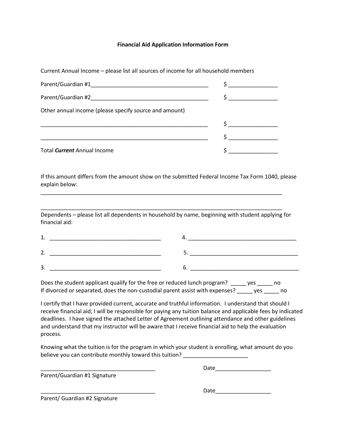#### **Financial Aid Application Information Form**

Current Annual Income – please list all sources of income for all household members

|                                                        | $\mathsf{S}$ and $\mathsf{S}$                                   |
|--------------------------------------------------------|-----------------------------------------------------------------|
| Other annual income (please specify source and amount) |                                                                 |
|                                                        | $\mathsf{S}$ and $\mathsf{S}$ and $\mathsf{S}$ and $\mathsf{S}$ |
|                                                        |                                                                 |
| Total <i>Current</i> Annual Income                     |                                                                 |

If this amount differs from the amount show on the submitted Federal Income Tax Form 1040, please explain below:

Dependents – please list all dependents in household by name, beginning with student applying for financial aid:

\_\_\_\_\_\_\_\_\_\_\_\_\_\_\_\_\_\_\_\_\_\_\_\_\_\_\_\_\_\_\_\_\_\_\_\_\_\_\_\_\_\_\_\_\_\_\_\_\_\_\_\_\_\_\_\_\_\_\_\_\_\_\_\_\_\_\_\_\_\_\_\_\_\_\_\_\_\_

\_\_\_\_\_\_\_\_\_\_\_\_\_\_\_\_\_\_\_\_\_\_\_\_\_\_\_\_\_\_\_\_\_\_\_\_\_\_\_\_\_\_\_\_\_\_\_\_\_\_\_\_\_\_\_\_\_\_\_\_\_\_\_\_\_\_\_\_\_\_\_\_\_\_\_\_\_\_

| -        |  |
|----------|--|
| <u>.</u> |  |

Does the student applicant qualify for the free or reduced lunch program? \_\_\_\_\_ yes \_\_\_\_\_ no If divorced or separated, does the non-custodial parent assist with expenses? \_\_\_\_\_ yes \_\_\_\_\_ no

I certify that I have provided current, accurate and truthful information. I understand that should I receive financial aid; I will be responsible for paying any tuition balance and applicable fees by indicated deadlines. I have signed the attached Letter of Agreement outlining attendance and other guidelines and understand that my instructor will be aware that I receive financial aid to help the evaluation process.

Knowing what the tuition is for the program in which your student is enrolling, what amount do you believe you can contribute monthly toward this tuition?

\_\_\_\_\_\_\_\_\_\_\_\_\_\_\_\_\_\_\_\_\_\_\_\_\_\_\_\_\_\_\_\_\_\_\_\_\_ Date\_\_\_\_\_\_\_\_\_\_\_\_\_\_\_\_\_\_

Parent/Guardian #1 Signature

 $Date$   $\qquad \qquad \qquad \qquad$ 

Parent/ Guardian #2 Signature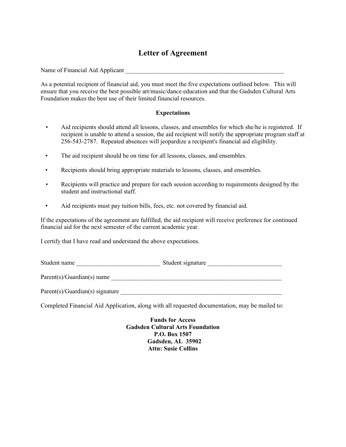# **Letter of Agreement**

Name of Financial Aid Applicant

As a potential recipient of financial aid, you must meet the five expectations outlined below. This will ensure that you receive the best possible art/music/dance education and that the Gadsden Cultural Arts Foundation makes the best use of their limited financial resources.

#### **Expectations**

- Aid recipients should attend all lessons, classes, and ensembles for which she/he is registered. If recipient is unable to attend a session, the aid recipient will notify the appropriate program staff at 256-543-2787. Repeated absences will jeopardize a recipient's financial aid eligibility.
- The aid recipient should be on time for all lessons, classes, and ensembles.
- Recipients should bring appropriate materials to lessons, classes, and ensembles.
- Recipients will practice and prepare for each session according to requirements designed by the student and instructional staff.
- Aid recipients must pay tuition bills, fees, etc. not covered by financial aid.

If the expectations of the agreement are fulfilled, the aid recipient will receive preference for continued financial aid for the next semester of the current academic year.

I certify that I have read and understand the above expectations.

Student name \_\_\_\_\_\_\_\_\_\_\_\_\_\_\_\_\_\_\_\_\_\_\_\_\_\_\_ Student signature \_\_\_\_\_\_\_\_\_\_\_\_\_\_\_\_\_\_\_\_\_\_\_\_

 $Parent(s)/Guardian(s)$  name  $\qquad \qquad$ 

 $Parent(s)/Guardian(s)$  signature

Completed Financial Aid Application, along with all requested documentation, may be mailed to:

**Funds for Access Gadsden Cultural Arts Foundation P.O. Box 1507 Gadsden, AL 35902 Attn: Susie Collins**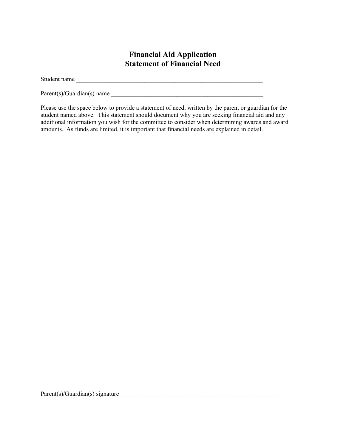# **Financial Aid Application Statement of Financial Need**

Student name \_\_\_\_\_\_\_\_\_\_\_\_\_\_\_\_\_\_\_\_\_\_\_\_\_\_\_\_\_\_\_\_\_\_\_\_\_\_\_\_\_\_\_\_\_\_\_\_\_\_\_\_\_\_\_\_\_\_\_\_

 $Parent(s)/Guardian(s)$  name  $\_\_$ 

Please use the space below to provide a statement of need, written by the parent or guardian for the student named above. This statement should document why you are seeking financial aid and any additional information you wish for the committee to consider when determining awards and award amounts. As funds are limited, it is important that financial needs are explained in detail.